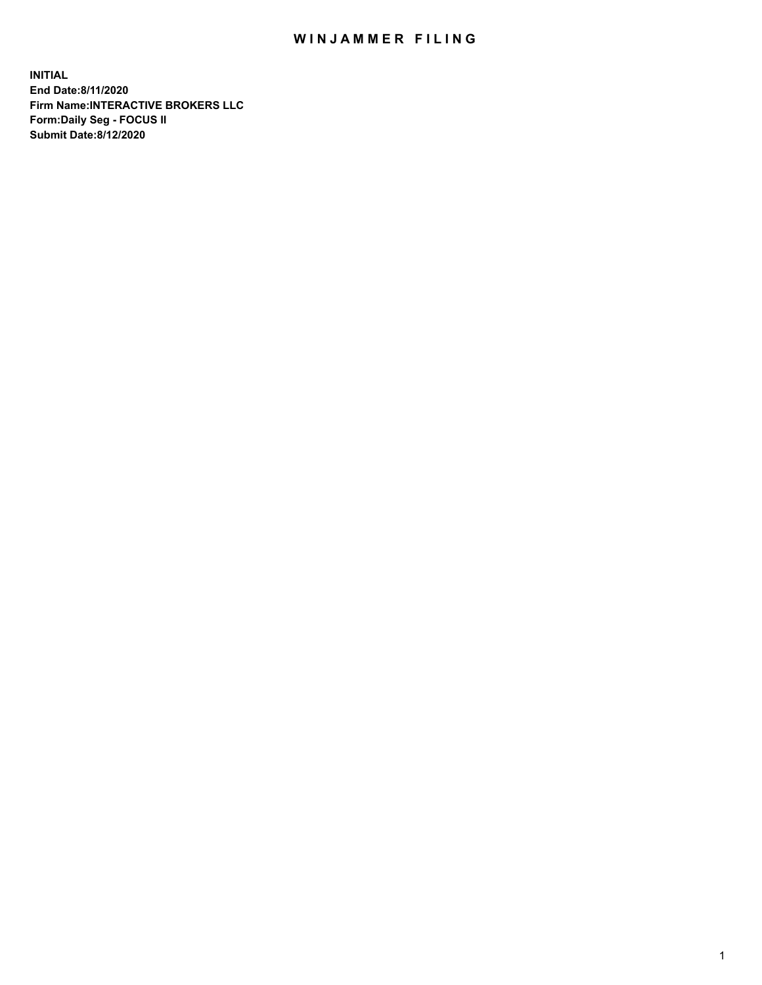## WIN JAMMER FILING

**INITIAL End Date:8/11/2020 Firm Name:INTERACTIVE BROKERS LLC Form:Daily Seg - FOCUS II Submit Date:8/12/2020**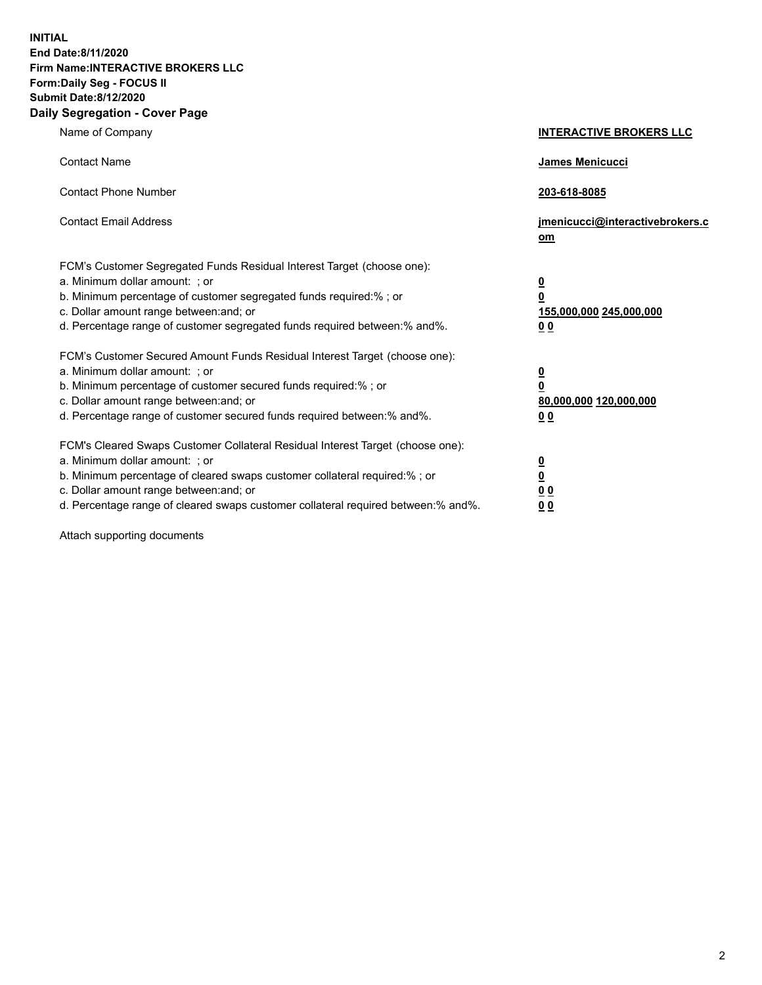**INITIAL End Date:8/11/2020 Firm Name:INTERACTIVE BROKERS LLC Form:Daily Seg - FOCUS II Submit Date:8/12/2020 Daily Segregation - Cover Page**

| Name of Company                                                                                                                                                                                                                                                                                                                | <b>INTERACTIVE BROKERS LLC</b>                                                   |
|--------------------------------------------------------------------------------------------------------------------------------------------------------------------------------------------------------------------------------------------------------------------------------------------------------------------------------|----------------------------------------------------------------------------------|
| <b>Contact Name</b>                                                                                                                                                                                                                                                                                                            | James Menicucci                                                                  |
| <b>Contact Phone Number</b>                                                                                                                                                                                                                                                                                                    | 203-618-8085                                                                     |
| <b>Contact Email Address</b>                                                                                                                                                                                                                                                                                                   | jmenicucci@interactivebrokers.c<br>om                                            |
| FCM's Customer Segregated Funds Residual Interest Target (choose one):<br>a. Minimum dollar amount: ; or<br>b. Minimum percentage of customer segregated funds required:% ; or<br>c. Dollar amount range between: and; or<br>d. Percentage range of customer segregated funds required between:% and%.                         | <u>0</u><br>$\overline{\mathbf{0}}$<br>155,000,000 245,000,000<br>0 <sub>0</sub> |
| FCM's Customer Secured Amount Funds Residual Interest Target (choose one):<br>a. Minimum dollar amount: ; or<br>b. Minimum percentage of customer secured funds required:% ; or<br>c. Dollar amount range between: and; or<br>d. Percentage range of customer secured funds required between:% and%.                           | <u>0</u><br>$\overline{\mathbf{0}}$<br>80,000,000 120,000,000<br>0 <sub>0</sub>  |
| FCM's Cleared Swaps Customer Collateral Residual Interest Target (choose one):<br>a. Minimum dollar amount: ; or<br>b. Minimum percentage of cleared swaps customer collateral required:% ; or<br>c. Dollar amount range between: and; or<br>d. Percentage range of cleared swaps customer collateral required between:% and%. | <u>0</u><br>$\underline{\mathbf{0}}$<br>0 <sub>0</sub><br>0 <sub>0</sub>         |

Attach supporting documents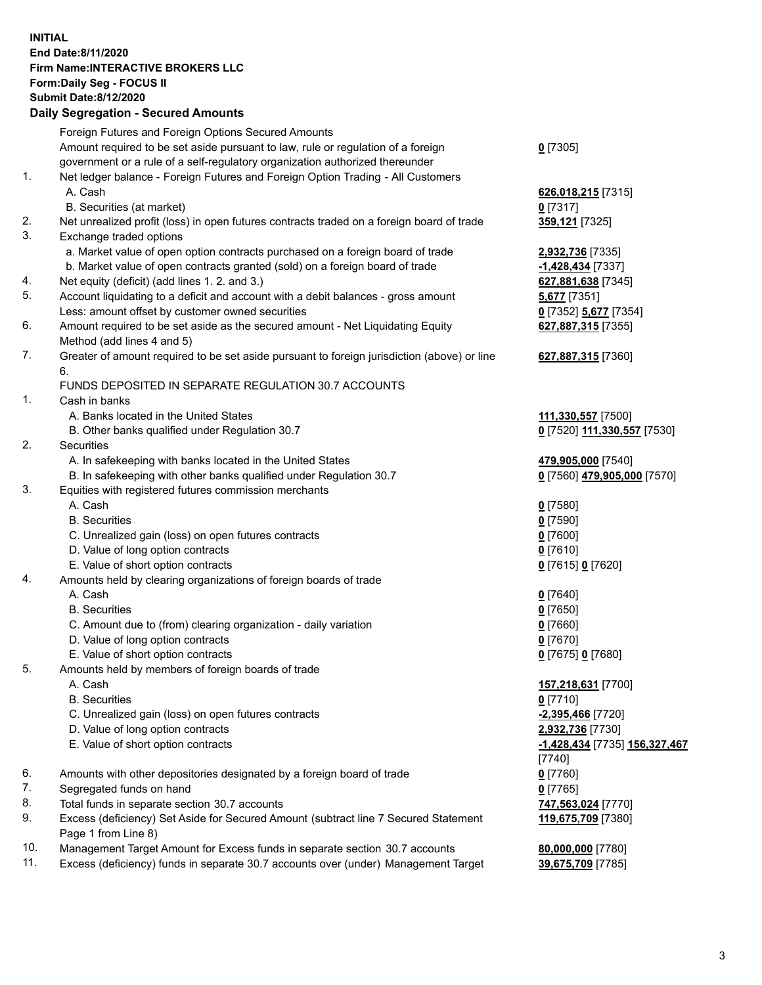## **INITIAL End Date:8/11/2020 Firm Name:INTERACTIVE BROKERS LLC Form:Daily Seg - FOCUS II Submit Date:8/12/2020**

|     | <b>Daily Segregation - Secured Amounts</b>                                                                 |                                      |
|-----|------------------------------------------------------------------------------------------------------------|--------------------------------------|
|     | Foreign Futures and Foreign Options Secured Amounts                                                        |                                      |
|     | Amount required to be set aside pursuant to law, rule or regulation of a foreign                           | $0$ [7305]                           |
|     | government or a rule of a self-regulatory organization authorized thereunder                               |                                      |
| 1.  | Net ledger balance - Foreign Futures and Foreign Option Trading - All Customers                            |                                      |
|     | A. Cash                                                                                                    | 626,018,215 [7315]                   |
|     | B. Securities (at market)                                                                                  | $0$ [7317]                           |
| 2.  | Net unrealized profit (loss) in open futures contracts traded on a foreign board of trade                  | 359,121 [7325]                       |
| 3.  | Exchange traded options                                                                                    |                                      |
|     | a. Market value of open option contracts purchased on a foreign board of trade                             | 2,932,736 [7335]                     |
|     | b. Market value of open contracts granted (sold) on a foreign board of trade                               | -1,428,434 [7337]                    |
| 4.  | Net equity (deficit) (add lines 1. 2. and 3.)                                                              | 627,881,638 [7345]                   |
| 5.  | Account liquidating to a deficit and account with a debit balances - gross amount                          | <b>5,677</b> [7351]                  |
|     | Less: amount offset by customer owned securities                                                           | 0 [7352] 5,677 [7354]                |
| 6.  | Amount required to be set aside as the secured amount - Net Liquidating Equity                             | 627,887,315 [7355]                   |
|     | Method (add lines 4 and 5)                                                                                 |                                      |
| 7.  | Greater of amount required to be set aside pursuant to foreign jurisdiction (above) or line                | 627,887,315 [7360]                   |
|     | 6.                                                                                                         |                                      |
|     | FUNDS DEPOSITED IN SEPARATE REGULATION 30.7 ACCOUNTS                                                       |                                      |
| 1.  | Cash in banks                                                                                              |                                      |
|     | A. Banks located in the United States                                                                      | 111,330,557 [7500]                   |
|     | B. Other banks qualified under Regulation 30.7                                                             | 0 [7520] 111,330,557 [7530]          |
| 2.  | Securities                                                                                                 |                                      |
|     | A. In safekeeping with banks located in the United States                                                  | 479,905,000 [7540]                   |
|     | B. In safekeeping with other banks qualified under Regulation 30.7                                         | 0 [7560] 479,905,000 [7570]          |
| 3.  | Equities with registered futures commission merchants                                                      |                                      |
|     | A. Cash                                                                                                    | $0$ [7580]                           |
|     | <b>B.</b> Securities                                                                                       | $0$ [7590]                           |
|     | C. Unrealized gain (loss) on open futures contracts                                                        | $0$ [7600]                           |
|     | D. Value of long option contracts                                                                          | 0 [7610]                             |
|     | E. Value of short option contracts                                                                         | 0 [7615] 0 [7620]                    |
| 4.  | Amounts held by clearing organizations of foreign boards of trade                                          |                                      |
|     | A. Cash                                                                                                    | $0$ [7640]                           |
|     | <b>B.</b> Securities                                                                                       | <u>0</u> [7650]                      |
|     | C. Amount due to (from) clearing organization - daily variation                                            | $0$ [7660]                           |
|     | D. Value of long option contracts                                                                          | $0$ [7670]                           |
|     | E. Value of short option contracts                                                                         | 0 [7675] 0 [7680]                    |
| 5.  | Amounts held by members of foreign boards of trade                                                         |                                      |
|     | A. Cash                                                                                                    | 157,218,631 [7700]                   |
|     | <b>B.</b> Securities                                                                                       | $0$ [7710]                           |
|     | C. Unrealized gain (loss) on open futures contracts                                                        | -2,395,466 [7720]                    |
|     | D. Value of long option contracts                                                                          | 2,932,736 [7730]                     |
|     | E. Value of short option contracts                                                                         | <u>-1,428,434</u> [7735] 156,327,467 |
|     |                                                                                                            | $[7740]$                             |
| 6.  | Amounts with other depositories designated by a foreign board of trade                                     | $0$ [7760]                           |
| 7.  | Segregated funds on hand                                                                                   | $0$ [7765]                           |
| 8.  | Total funds in separate section 30.7 accounts                                                              | 747,563,024 [7770]                   |
| 9.  | Excess (deficiency) Set Aside for Secured Amount (subtract line 7 Secured Statement<br>Page 1 from Line 8) | 119,675,709 [7380]                   |
| 10. | Management Target Amount for Excess funds in separate section 30.7 accounts                                | 80,000,000 [7780]                    |
| 11. | Excess (deficiency) funds in separate 30.7 accounts over (under) Management Target                         | 39,675,709 [7785]                    |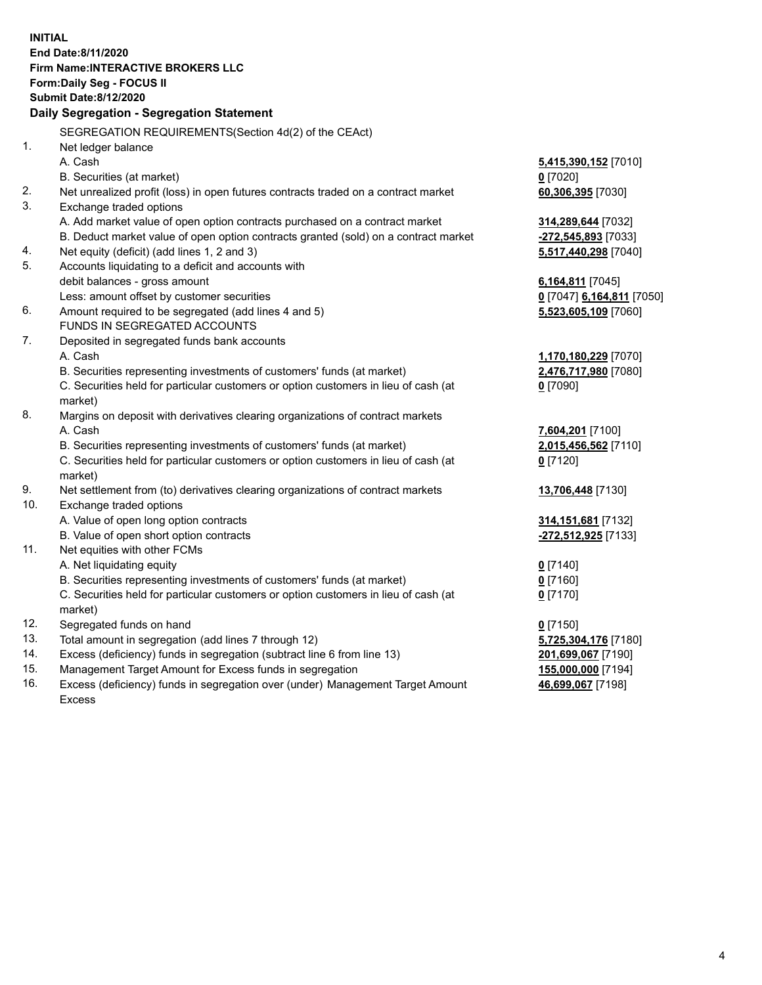**INITIAL End Date:8/11/2020 Firm Name:INTERACTIVE BROKERS LLC Form:Daily Seg - FOCUS II Submit Date:8/12/2020 Daily Segregation - Segregation Statement** SEGREGATION REQUIREMENTS(Section 4d(2) of the CEAct) 1. Net ledger balance A. Cash **5,415,390,152** [7010] B. Securities (at market) **0** [7020] 2. Net unrealized profit (loss) in open futures contracts traded on a contract market **60,306,395** [7030] 3. Exchange traded options A. Add market value of open option contracts purchased on a contract market **314,289,644** [7032] B. Deduct market value of open option contracts granted (sold) on a contract market **-272,545,893** [7033] 4. Net equity (deficit) (add lines 1, 2 and 3) **5,517,440,298** [7040] 5. Accounts liquidating to a deficit and accounts with debit balances - gross amount **6,164,811** [7045] Less: amount offset by customer securities **0** [7047] **6,164,811** [7050] 6. Amount required to be segregated (add lines 4 and 5) **5,523,605,109** [7060] FUNDS IN SEGREGATED ACCOUNTS 7. Deposited in segregated funds bank accounts A. Cash **1,170,180,229** [7070] B. Securities representing investments of customers' funds (at market) **2,476,717,980** [7080] C. Securities held for particular customers or option customers in lieu of cash (at market) **0** [7090] 8. Margins on deposit with derivatives clearing organizations of contract markets A. Cash **7,604,201** [7100] B. Securities representing investments of customers' funds (at market) **2,015,456,562** [7110] C. Securities held for particular customers or option customers in lieu of cash (at market) **0** [7120] 9. Net settlement from (to) derivatives clearing organizations of contract markets **13,706,448** [7130] 10. Exchange traded options A. Value of open long option contracts **314,151,681** [7132] B. Value of open short option contracts **-272,512,925** [7133] 11. Net equities with other FCMs A. Net liquidating equity **0** [7140] B. Securities representing investments of customers' funds (at market) **0** [7160] C. Securities held for particular customers or option customers in lieu of cash (at market) **0** [7170] 12. Segregated funds on hand **0** [7150] 13. Total amount in segregation (add lines 7 through 12) **5,725,304,176** [7180] 14. Excess (deficiency) funds in segregation (subtract line 6 from line 13) **201,699,067** [7190] 15. Management Target Amount for Excess funds in segregation **155,000,000** [7194] **46,699,067** [7198]

16. Excess (deficiency) funds in segregation over (under) Management Target Amount Excess